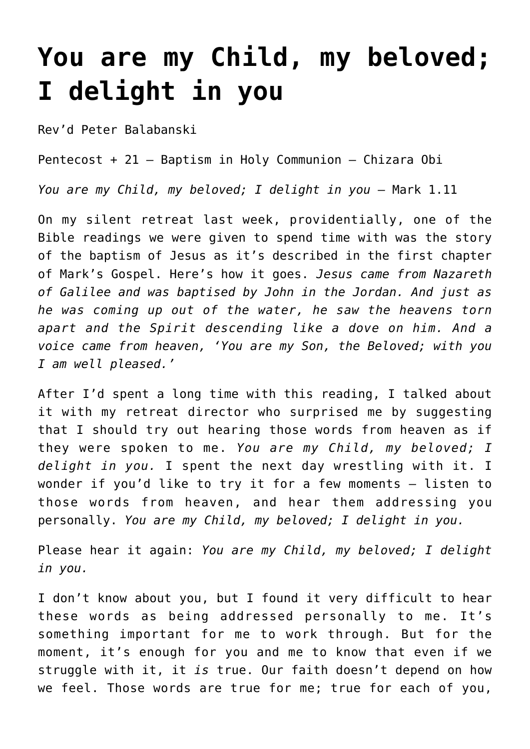## **[You are my Child, my beloved;](https://stjohnsadelaide.org.au/you-are-my-child-my-beloved-i-delight-in-you/) [I delight in you](https://stjohnsadelaide.org.au/you-are-my-child-my-beloved-i-delight-in-you/)**

Rev'd Peter Balabanski

Pentecost + 21 – Baptism in Holy Communion – Chizara Obi

*You are my Child, my beloved; I delight in you - Mark 1.11* 

On my silent retreat last week, providentially, one of the Bible readings we were given to spend time with was the story of the baptism of Jesus as it's described in the first chapter of Mark's Gospel. Here's how it goes. *Jesus came from Nazareth of Galilee and was baptised by John in the Jordan. And just as he was coming up out of the water, he saw the heavens torn apart and the Spirit descending like a dove on him. And a voice came from heaven, 'You are my Son, the Beloved; with you I am well pleased.'*

After I'd spent a long time with this reading, I talked about it with my retreat director who surprised me by suggesting that I should try out hearing those words from heaven as if they were spoken to me. *You are my Child, my beloved; I delight in you.* I spent the next day wrestling with it. I wonder if you'd like to try it for a few moments – listen to those words from heaven, and hear them addressing you personally. *You are my Child, my beloved; I delight in you.*

Please hear it again: *You are my Child, my beloved; I delight in you.*

I don't know about you, but I found it very difficult to hear these words as being addressed personally to me. It's something important for me to work through. But for the moment, it's enough for you and me to know that even if we struggle with it, it *is* true. Our faith doesn't depend on how we feel. Those words are true for me; true for each of you,